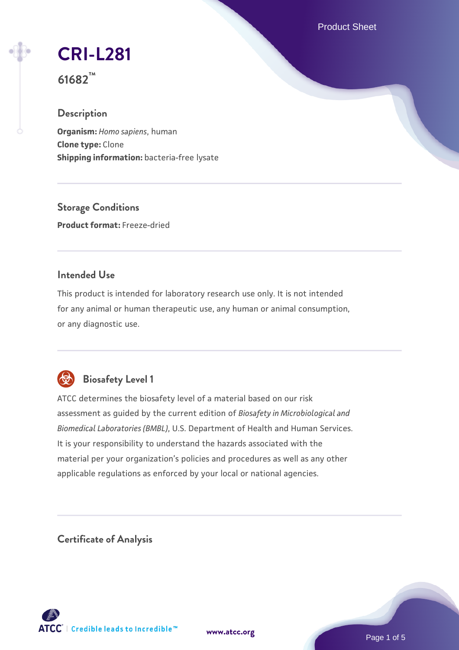Product Sheet

# **[CRI-L281](https://www.atcc.org/products/61682)**

**61682™**

# **Description**

**Organism:** *Homo sapiens*, human **Clone type:** Clone **Shipping information:** bacteria-free lysate

**Storage Conditions Product format:** Freeze-dried

# **Intended Use**

This product is intended for laboratory research use only. It is not intended for any animal or human therapeutic use, any human or animal consumption, or any diagnostic use.



# **Biosafety Level 1**

ATCC determines the biosafety level of a material based on our risk assessment as guided by the current edition of *Biosafety in Microbiological and Biomedical Laboratories (BMBL)*, U.S. Department of Health and Human Services. It is your responsibility to understand the hazards associated with the material per your organization's policies and procedures as well as any other applicable regulations as enforced by your local or national agencies.

**Certificate of Analysis**

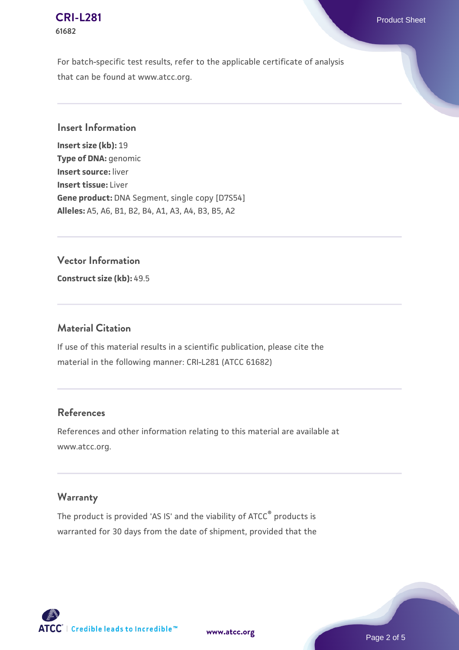#### **[CRI-L281](https://www.atcc.org/products/61682)** Product Sheet **61682**

For batch-specific test results, refer to the applicable certificate of analysis that can be found at www.atcc.org.

#### **Insert Information**

**Insert size (kb):** 19 **Type of DNA:** genomic **Insert source:** liver **Insert tissue:** Liver **Gene product:** DNA Segment, single copy [D7S54] **Alleles:** A5, A6, B1, B2, B4, A1, A3, A4, B3, B5, A2

### **Vector Information**

**Construct size (kb):** 49.5

### **Material Citation**

If use of this material results in a scientific publication, please cite the material in the following manner: CRI-L281 (ATCC 61682)

# **References**

References and other information relating to this material are available at www.atcc.org.

# **Warranty**

The product is provided 'AS IS' and the viability of ATCC® products is warranted for 30 days from the date of shipment, provided that the

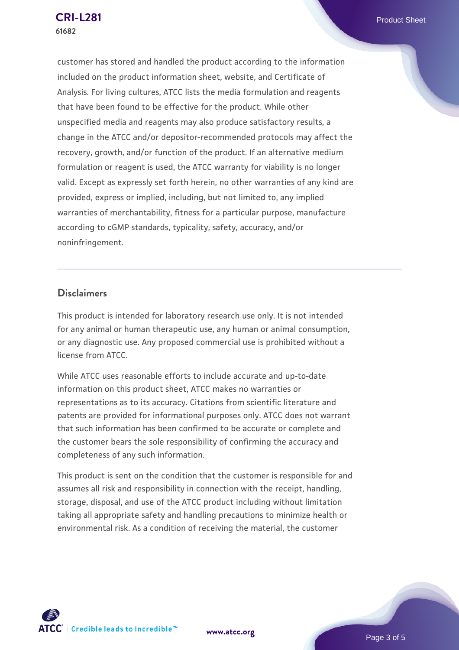customer has stored and handled the product according to the information included on the product information sheet, website, and Certificate of Analysis. For living cultures, ATCC lists the media formulation and reagents that have been found to be effective for the product. While other unspecified media and reagents may also produce satisfactory results, a change in the ATCC and/or depositor-recommended protocols may affect the recovery, growth, and/or function of the product. If an alternative medium formulation or reagent is used, the ATCC warranty for viability is no longer valid. Except as expressly set forth herein, no other warranties of any kind are provided, express or implied, including, but not limited to, any implied warranties of merchantability, fitness for a particular purpose, manufacture according to cGMP standards, typicality, safety, accuracy, and/or noninfringement.

#### **Disclaimers**

This product is intended for laboratory research use only. It is not intended for any animal or human therapeutic use, any human or animal consumption, or any diagnostic use. Any proposed commercial use is prohibited without a license from ATCC.

While ATCC uses reasonable efforts to include accurate and up-to-date information on this product sheet, ATCC makes no warranties or representations as to its accuracy. Citations from scientific literature and patents are provided for informational purposes only. ATCC does not warrant that such information has been confirmed to be accurate or complete and the customer bears the sole responsibility of confirming the accuracy and completeness of any such information.

This product is sent on the condition that the customer is responsible for and assumes all risk and responsibility in connection with the receipt, handling, storage, disposal, and use of the ATCC product including without limitation taking all appropriate safety and handling precautions to minimize health or environmental risk. As a condition of receiving the material, the customer



**[www.atcc.org](http://www.atcc.org)**

Page 3 of 5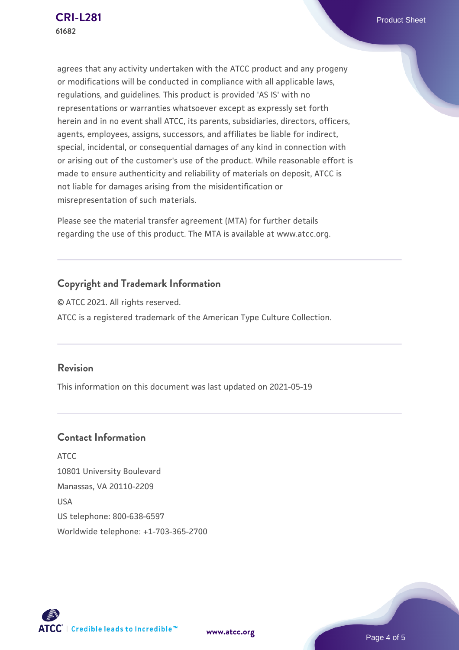agrees that any activity undertaken with the ATCC product and any progeny or modifications will be conducted in compliance with all applicable laws, regulations, and guidelines. This product is provided 'AS IS' with no representations or warranties whatsoever except as expressly set forth herein and in no event shall ATCC, its parents, subsidiaries, directors, officers, agents, employees, assigns, successors, and affiliates be liable for indirect, special, incidental, or consequential damages of any kind in connection with or arising out of the customer's use of the product. While reasonable effort is made to ensure authenticity and reliability of materials on deposit, ATCC is not liable for damages arising from the misidentification or misrepresentation of such materials.

Please see the material transfer agreement (MTA) for further details regarding the use of this product. The MTA is available at www.atcc.org.

# **Copyright and Trademark Information**

© ATCC 2021. All rights reserved. ATCC is a registered trademark of the American Type Culture Collection.

#### **Revision**

This information on this document was last updated on 2021-05-19

# **Contact Information**

ATCC 10801 University Boulevard Manassas, VA 20110-2209 USA US telephone: 800-638-6597 Worldwide telephone: +1-703-365-2700